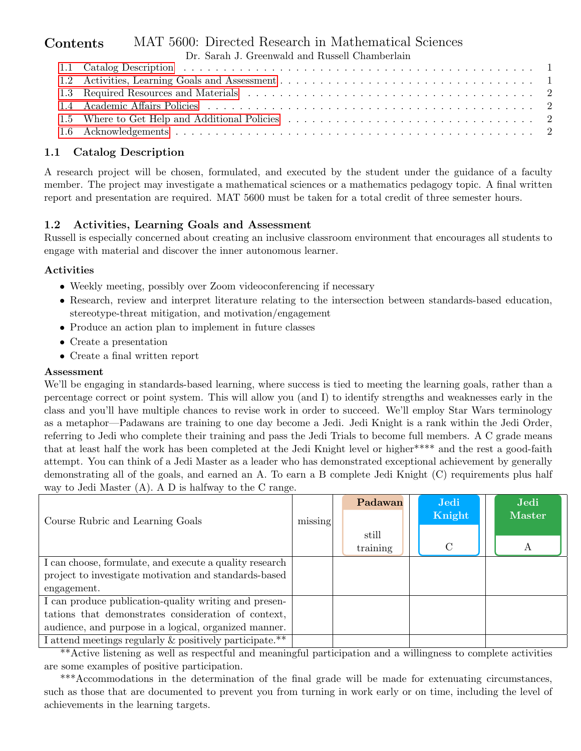#### MAT 5600: Directed Research in Mathematical Sciences Contents

| Dr. Sarah J. Greenwald and Russell Chamberlain |  |  |  |  |  |  |  |  |
|------------------------------------------------|--|--|--|--|--|--|--|--|
|                                                |  |  |  |  |  |  |  |  |
|                                                |  |  |  |  |  |  |  |  |
|                                                |  |  |  |  |  |  |  |  |
|                                                |  |  |  |  |  |  |  |  |
|                                                |  |  |  |  |  |  |  |  |
|                                                |  |  |  |  |  |  |  |  |

## <span id="page-0-0"></span>1.1 Catalog Description

A research project will be chosen, formulated, and executed by the student under the guidance of a faculty member. The project may investigate a mathematical sciences or a mathematics pedagogy topic. A final written report and presentation are required. MAT 5600 must be taken for a total credit of three semester hours.

# <span id="page-0-1"></span>1.2 Activities, Learning Goals and Assessment

Russell is especially concerned about creating an inclusive classroom environment that encourages all students to engage with material and discover the inner autonomous learner.

#### Activities

- Weekly meeting, possibly over Zoom videoconferencing if necessary
- Research, review and interpret literature relating to the intersection between standards-based education, stereotype-threat mitigation, and motivation/engagement
- Produce an action plan to implement in future classes
- Create a presentation
- Create a final written report

#### Assessment

We'll be engaging in standards-based learning, where success is tied to meeting the learning goals, rather than a percentage correct or point system. This will allow you (and I) to identify strengths and weaknesses early in the class and you'll have multiple chances to revise work in order to succeed. We'll employ Star Wars terminology as a metaphor—Padawans are training to one day become a Jedi. Jedi Knight is a rank within the Jedi Order, referring to Jedi who complete their training and pass the Jedi Trials to become full members. A C grade means that at least half the work has been completed at the Jedi Knight level or higher\*\*\*\* and the rest a good-faith attempt. You can think of a Jedi Master as a leader who has demonstrated exceptional achievement by generally demonstrating all of the goals, and earned an A. To earn a B complete Jedi Knight (C) requirements plus half way to Jedi Master (A). A D is halfway to the C range.

|                                                         |         | Padawan  | Jedi          | Jedi   |
|---------------------------------------------------------|---------|----------|---------------|--------|
| Course Rubric and Learning Goals                        | missing |          | Knight        | Master |
|                                                         |         | still    |               |        |
|                                                         |         | training | $\mathcal{C}$ |        |
| I can choose, formulate, and execute a quality research |         |          |               |        |
| project to investigate motivation and standards-based   |         |          |               |        |
| engagement.                                             |         |          |               |        |
| I can produce publication-quality writing and presen-   |         |          |               |        |
| tations that demonstrates consideration of context,     |         |          |               |        |
| audience, and purpose in a logical, organized manner.   |         |          |               |        |
| I attend meetings regularly & positively participate.** |         |          |               |        |

\*\*Active listening as well as respectful and meaningful participation and a willingness to complete activities are some examples of positive participation.

\*\*\*Accommodations in the determination of the final grade will be made for extenuating circumstances, such as those that are documented to prevent you from turning in work early or on time, including the level of achievements in the learning targets.